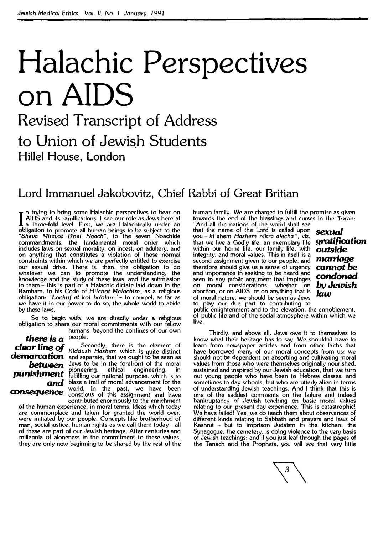# **Halachic Perspectives on AIDS**

### **Revised Transcript of Address to Union of Jewish Students Hillel House, London**

#### **Lord Immanuel Jakobovitz, Chief Rabbi of Great Britian**

I n trying to bring some Halachic perspectives to bear on<br>AIDS and its ramifications. I see our role as Jews here at<br>a three-fold level. First, we are Halachically under an<br>obligation to promote all human beings to be subj AIDS and its ramilications. I see our role as Jews here at a three-fold level. First, we are Halachically under an obligation to promote all human beings to be subject to the *"Sheua* Mitzuot *B'nei Noach",* to the seven Noachide commandments, the fundamental moral order which includes laws on sexual morality, on incest, on adultery, and on anything that constitutes a violation of those normal constraints within which we are perfectly entitled to exercise our sexual drive. There is, then. the obligation to do whatever we can to promote the understanding. the knowledge and the study of these laws, and the submission to them - this is part of a Halachic dictate laid down in the Rambam. in his Code of *Hilchot* Melachim, as a religious obligation: *"Lochuf et kol ha'o/am"* - to compel, as far as we have it in our power to do so, the whole world to abide by these laws.

So to begin with, we are directly under a religious obligation to share our moral commitments with our fellow humans, beyond the confiries of our own

*there is a* <sup>people.</sup>

*clear line of* Secondly, there is the element of **Secondly**, there is the element of **demarcation** and separate, that we ought to be seen as **between** Jews to be in the forefront of the moral **punishment** pioneering, ethical engineering, in **punishment** fulfilling our national purpose, which is to and blaze a trail of moral advancement for the **consequence** world. In the past, we have been contributed enormously to the enrichment

of the human experience, in moral terms. Ideas which today are commonplace and taken for granted the world over, were initiated by our people. Concepts like brotherhood of man, social justice, human rights as we call them today- all of these are part of our Jewish heritage. After centuries and millennia of aloneness in the commitment to these values, they are only now beginning to be shared by the rest of the

human family. We are charged to fulfill the promise as given towards the end of the blessings and curses in the Torah:

And all the nations of the world shall see that the name of the Lord is called upon *sexual*  you - *ki shem Hashem nikra alecha* ", viz. that we live a Godly life, an exemplary life **grattfica**<br>within our home life, our family life, with **outside** integrity. and moral values. This in itself is a second assignment given to our people, and **marriage**<br>therefore should give us a sense of urgency **cannot be** therefore should give us a sense of urgency and importance in seeking to be heard and seen in any public argument that impinges on moral considerations. whether on abortion, or on AIDS. or on anything that is abortion, or on AIDS, or on anything that is *law*<br>of moral nature, we should be seen as Jews to play our due part to contributing to

## gratification<br>outside **by** e11 *ish*  $cond$ *nad*

public enlightenment and to the elevation, the ennoblement. of public life and of the social atmosphere within which we live.

Thirdly, and above all. Jews owe it to themselves to know what their heritage has to say. We shouldn't have to learn from newspaper articles and from other faiths that have borrowed many of our moral concepts from us; we should not be dependent on absorbing and cultivating moral values from those who were themselves originally nourished, sustained and inspired by our Jewish education, that we turn out young people who have been to Hebrew classes, and sometimes to day schools, but who are utterly alien in terms of understanding Jewish teachings. And I think that this is one of the saddest comments on the failure and indeed bankruplancy of ,Jewish teaching on basic moral values relating to our present-day experience. This is catastrophic! We have failed! Yes, we do teach them about observances of different kinds relating to Sabbath and prayers and laws of Kashrut  $-$  but to imprison Judaism in the kitchen. the Synagogue. the cemetery. is doing violence to the very basis of Jewish teachings: and if you just leaf through the pages of the Tanach and the Prophets, you will see that very little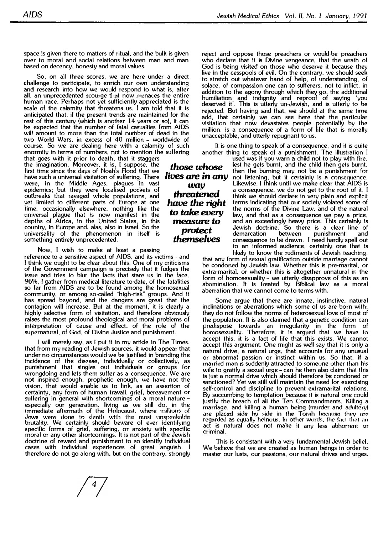space is given there to matters of ritual, and the bulk is given over to moral and social relations between man and man based on decency, honesty and moral values.

So, on all three scores, we are here under a direct challenge to participate, to enrich our own understanding and research into how we would respond to what is, after all, an unprecedented scourge that now menaces the entire human race. Perhaps not yet sufficiently appreciated is the scale of the calamity that threatens us. I am told that **it** is anticipated that. if the present trends are maintained for the rest of this century (which is another 14 years or so), it can be expected that the number of fatal casualties from **AIDS** will amount to more than the total number of dead in the two World Wars, **in** excess of 40 million - worldwide of course. So we are dealing here with a calamity of such enormity in terms of numbers. not to mention the suffering

that goes with it prior to death, that it staggers the imagination. Moreover, it is, **I** suppose, the first time since the days of Noah's Flood that we have such a universal visitation of suffering. There were, in the Middle Ages, plagues in vast epidemics; but they were localised pockets of outbreaks that ravaged whole populations, and<br>uet limited to different parts of Furone at one yet limited to different parts of Europe at one **time,** occasionally elsewhere, nothing like the universal plague that is now manifest in the depths of Africa. in the United States, in this country, in Europe and, alas, also in Israel. So the universality of the phenomenon in itself is something entirely unprecedented.

Now, I wish to make at least a passing reference to a sensitive aspect of AIDS, and its victims - and I think we ought to be dear about this. One of my criticisms of the Government campaign is precisely that it fudges the issue and tries to blur the facts that stare us in the face. **96%, I** gather from medical literature to-date, of the fatalities so far from AIDS are to be found among the homosexual community, or among so-called "high-risk" groups. And it has spread beyond, and the dangers are great that the contagion **will** increase. But at the moment, it is clearly a highly selective form of visitation, and therefore obviously raises the most profound theological and moral problems of

interpretation of cause and effect, of the role of the supernatural, of God, of Divine Justice and punishment.

I will merely say, as I put it in my article in The Times, that from my reading of Jewish sources, it would appear that under no circumstances would we be justified in branding the incidence of the disease, individually or collectively, as punishment that singles out individuals or groups for wrongdoing and lets them suffer as a consequence. We are not inspired enough, prophetic enough, we have not the vision. that would enable us to link, as an assertion of certainty, any form of human travail. grief, bereavement or suffering in general with shortcomings of a moral nature especially our generation. living as we still do, in the immediate ahermath of the Holocaust, where millions of Jews were done to death with the most unspeakable brutality. We certainly should beware of ever identifying specific forms of grieL suffering. or anxiety with specific moral or any other shortcomings. It is not part of the Jewish doctrine of reward and punishment to so identify individual cases with individual experiences of great anguish. I therefore do not go along with. but on the contrary, strongly

reject and oppose those preachers or would-be preachers who declare that it is Divine vengeance, that the wrath of God is being visited on those who deserve it because they live in the cesspools of evil. On the contrary, we should seek to stretch out whatever hand of help, of understanding, of solace, of compassion one can to sufferers, not to inflict, in addition to the agony through which they go, the additional humiliation and indignity and reproof of saying 'you deserved it'. This is utterly un-Jewish, and is utterly to be rejected. But having said that, we should at the same time add, that certainly we can see here that the particular visitation that now devastates people potentially by the million, is a consequence of a form of life that is morally unacceptable, and utterly repugnant to us.

It is one thing to speak of a consequence, and it is quite another thing to speak of a punishment. The illustration I

used was if you warn a child not to play with fire, lest he gets burnt, and the child then gets burnt, *those whose* lest he gets burnt, and the child then gets burnt, • • then the burning may not be a punishment for *lives are in any* not listening, but it certainly is a consequence. **way** Likewise, I think until we make clear that AIDS is a consequence, we do not get to the root of it. **threatened** think we should declare in very plain and explicit **have the right** terms indicating that our society violated some of **have the right** terms indicating that our society violated some of the norms of the Divine Law, and of the natural **to take every** Ich **take every** the norms of the Divine Law, and of the natural **to** *take every* law, and that as a consequence we pay a price, **measure to** and an exceedingly heavy price. This certainly is **easure to** and an exceedingly heavy price. This certainly is<br> **protect** democration between punishment and **FOLECT** demarcation between punishment and **themselves** consequence to be drawn. I need hardly spell out to an informed audience, certainly one that is likely to know the rudiments of Jewish teaching,

that any form of sexual gratification outside marriage cannot be condoned by Jewish law. Whether this is pre-marital, or extra-marital, or whether this is altogether unnatural in the form of homosexuality - we utterly disapprove of this as an abomination. It is treated by Biblical law as a moral aberration that we cannot come to terms with.

Some argue that there are innate, instinctive, natural inclinations or aberrations which some of us are born with; they do not follow the norms of heterosexual love of most of the population. **It** is also claimed that a genetic condition can predispose towards an irregularity in the form of homosexuality. Therefore, it is argued that we have to accept this. it is a fact of life that this exists. We cannot accept this argument. One might as well say that it is only a natural drive, a natural urge, that accounts for any unusual or abnormal passion or instinct within us. So that. if a married man is suddenly attracted to someone other than his wife to gratify a sexual urge - can he then also claim that this is just a normal drive which should therefore be condoned or sanctioned? Yet we still will maintain the need for exercising self-control and discipline to prevent extramarital relations. By succumbing to temptation because it is natural one could justify the breach of all the Ten Commandments. Killing a marriage. and killing a human being (murder and adultery) are placed side by side in the Torah because they are regarded as equally helnous. In other words, the fact that an act is natural does not make it any less abhorrent or criminal.

This is consistant with a very fundamental Jewish belief. We believe that we are created as human beings in order to master our lusts, our passions, our natural drives and urges.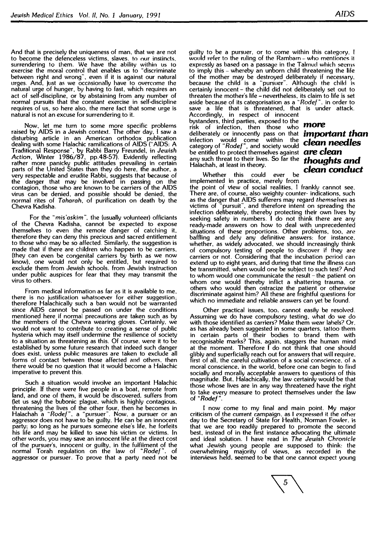And that is precisely the uniqueness of man, that we are not to become the defenceless victims, slaves. to our instincts, surrendering to them. We have the ability within us to exercise the moral control that enables us to "discriminate between right and wrong", even if it is against our natural urges. And, just as we occasionally have lo overcome the natural urge of hunger, by having to fast, which requires an act of self-discipline, or by abstaining from any number of normal pursuits that the constant exercise in self-discipline requires of us, so here also. the mere fact that some urge is natural is not an excuse for surrendering to it.

Now, let me tum to some more specific problems raised by AIDS in a Jewish context. The other day, I saw a disturbing article in an American orthodox publication dealing with some Halachic ramifications of AIDS (''AIDS: A Traditional Response", by Rabbi Barry Freundel. in *Jewish*  Action, Winter 1986/87, pp.48-57). Evidently reflecting rather more panicky public attitudes prevailing in certain parts of the United States than they do here, the author, a very respectable and erudite Rabbi, suggests that because of the danger that may be involved in passing on the contagion, those who are known to be carriers of the AIDS virus can be denied, and possible should be denied, the normal rites of *Taharah,* of purification on death by the Chevra Kadisha.

For the "mis *'askim* ", the {usually volunteer) officiants of the Chevra Kadisha, cannot be expected to expose themselves lo even the remole danger of catching it, therefore they can deny this precious and sacred entitlement to those who may be so affected. Similarly, the suggestion is made that if there are children who happen to be carriers, (they can even be congenital carriers by birth as we now know), one would not only be entitled, but required to exclude them from Jewish schools. from Jewish instruction under public auspices for fear that they may transmit the virus to others.

From medical information as far as it is available to me, there is no justification whatsoever for either suggestion; therefore Halachically such a ban would not be warranted since AIDS cannot be passed on under the conditions mentioned here if normal precautions are taken such as by the members of the Chevra wearing gloves. Certainly, we would not want to contribute to creating a sense of public hysteria which may itself undermine the resilience of society to a situation as threatening as this. Of course. were it to be established by some future research that indeed such danger does exist, unless public measures are taken to exclude all forms of contact between those affected and others. then there would be no question that it would become a Halachic imperative to prevent this.

Such a situation would involve an important Halachic principle. If there were five people in a boat, remote from land, and one of them, it would be discovered, suffers from (let us say) the bubonic plague. which is highly contagious. threatening the lives of the other four, then he becomes in Halachah a *"Rode/".* a "pursuer··. Now, a pursuer or an aggressor does not have to be guilty. He can be an innocent party; so long as he pursues someone else's life, he forfeits his life and may be killed to save his victim or victims. In other words, you may save an innocent life at the direct cost of the pursuer's, innocent or guilty, in the fulfilment of the normal Torah regulation on the law of *"Rode/",* of aggressor or pursuer. To prove that a party need not be

guilty to be a pursuer. or to come within this category. I would refer to the ruling of the Rambarn - who mentiones it expressly as based on a passage in the Talmud which seems to imply this - whereby an unborn child threatening the life of the mother may be destroyed deliberately if necessary, because the child is a "pursuer". Although the child is certainly innocent - the child did not deliberately set out to threaten the mother's life - nevertheless, its claim to life is set aside because of its categorisation as a "Rodef". in order to save a life that is threatened, that is under attack.

Accordingly, in respect of innocent bystanders, third parties, exposed to the risk of infection, then those who deliberately or innocently pass on that *important than*  infection would come within the category of *"Rode/",* and society would be entitled to protect themselves against any such threat to their lives. So far the Halachah, at least in theory.

*clean* **conduct** Whether this could ever be implemented in practice, merely from

the point of view of social realities, I frankly cannot see. There are, of course, also weighty counter· indications, such as the danger that AIDS sufferers may regard *themse/11es* as victims of "pursuit", and therefore intent on spreading the infection deliberately, thereby protecting their own lives by seeking safety in numbers. I do not think there are any ready-made answers on how to deal with unprecedented situations of these proportions. Other problems, too, are baffling and defy any definitive answers: for instance. whether, as widely advocated. we should increasingly think of compulsory testing of people to discover if they are carriers or not. Considering that the incubation period can extend up to eight years, and during that time the illness can be transmitted, when would one be subject to such test? And to whom would one communicate the result - the patient on whom one would thereby inflict a shattering trauma, or others who would then ostracize the patient or otherwise discriminate against him? All these are frightful questions for which no immediate and reliable answers can yet be found.

Other practical issues, too. cannot easily be resolved. Assuming we do have compulsory testing. what do we do with those identified as carriers? Make them wear lahels? Or. as has already been suggested in some quarters. tattoo them in certain parts of their bodies to brand them with recognisable marks? This, again, staggers the human mind at the moment. Therefore I do not think that one should glibly and superficially reach out for answers that will require. first of all. the careful cultivation of a social conscience. of a moral conscience. in the world, before one can begin to find socially and morally acceptable answers to questions of this magnitude. But, Halachically, the law certainly would be that those whose lives are in any way threatened have the right to take every measure to protect themselves under the law of *"Rodef".* 

I now come to my final and main point. My major criticism of the current campaign, as I expressed it the other day to the Secretary of State for Health, Norman Fowler. is that we are too readily prepared to promote the second best, instead of in the first instance advocating the ultimate and ideal solution. I have read in *The Jewish Chronicle*  what Jewish young people are supposed to think: the overwhelming majority of views, as recorded in the interviews held, seemed to be that one cannot expect young



*more clean needles are clean thoughts and*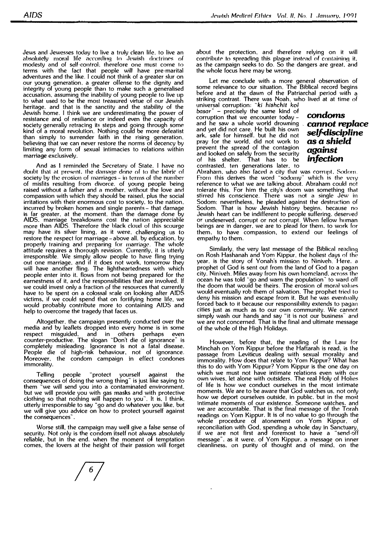Jews and Jewesses today to live a truly clean life. to live an absolutely moral life according to Jewish doctrines of modesty and of self-control; therefore one must come to terms with the fact that people will have pre-marital adventures and the like. I could not think of a greater slur on our young generation, a greater offense to the dignity and integrity of young people than to make such a generalised accusation. assuming the inability of young people to live up to what used to be the most treasured virtue of our Jewish heritage. and that is the sanctity and the stability of the Jewish home. I think we are underestimating the power of resistance and of resiliance or indeed even the capacity of society generally retracing its steps and going through some<br>lived of a manufacturities. Nathing sould be manufactured kind of a moral revolution. Nothing could be more defeatist than simply to surrender faith in the rising generation. believing that we can never restore the norms of decency by limiting any form of sexual intimacies to relations within marriage exclusively.

And as I reminded the Secretarv of State. I have no doubt that at present. the damage done of to the fabric of society by the erosion of marriages - in terms of the number of misfits resulting from divorce. of young people being raised without a father and a mother, without the love and compassion with which they should be raised. plus the social irritations with their enormous cost to society. to the nation. incurred **by** broken homes and single parents - that damage is far greater. at the moment. than the damage done by AIDS. marriage breakdowns cost the nation appreciable more than AIDS. Therefore the black cloud of this scourge may have its silver lining. as it were. challenging us to restore the respect for marriage - above all. by education. by properly training and preparing for marriage. The whole attitude requires a thorough revision. Currently, ii is utterly irresponsible. We simply allow people to have fling trying out one marriage. and **if** it does not work. tomorrow they will have another fling. The lightheartedness with which people enter into it. flows from not being prepared for the earnestness of it. and the responsibilities that are involved. If we could invest only a fraction of the resources that currently have to be spent on a colossal scale on looking after AIDS victims. **if** we could spend that on forlifying home life, we would probably contribute more to containing AIDS and help to overcome the tragedy that faces us.

Altogether, the campaign presently conducted over the media and by leaflets dropped into every home is in some respect misguided. and in others perhaps even counter-productive. The slogan "Don't die of ignorance" is completely misleading. Ignorance is not a fatal disease. People die of high-risk behaviour, not of ignorance. Moreover. the condom campaign in effect condones immorality.

Telling people "protect yourself against the consequences of doing the wrong thing" is just like saying to them "we will send you into a contaminated environment. but we will provide you with gas masks and with protective clothing so that nothing **will** happen to you.. . It is. I think. utterly irresponsible to say "go and do whatever you like. but we will give you advice on how to protect yourself against the consequences . . .

Worse still, the campaign may well give a false sense of security. Not only is the condom itself not always absolutely<br>reliable thut in the end, when the moment of temptation .<br>1 reliable, but in the end. when the moment of temptation comes, the lovers at the height of their passion will forget about the protection, and therefore relying on it will contribute to spreading this plague instead of containing it. as the campaign seeks to do. So the dangers are great, and the whole focus here may be wrong.

Let me conclude with a more general observation of some relevance to our situation. The Biblical record begins before and at the dawn of the Patriarchal period with a striking contrast. There was Noah, who lived at at time of universal corruption: . . ki *hishchit kol*

basar<sup>"</sup> - precisely the same kind of basar - precisely the same kind of<br>corruption that we encounter today - **condoms**<br>and he saw a whole world drowning **cannot replace** and yet did not care. He built his own<br>ark, safe for himself, but he did not **self-discipline**<br>pray for the world, did not work to **as a shield** pray for the world, did not work to prevent the spread of the contagion prevent the spread of the contagion<br>and looked on safely from the security **example of** his shelter. That has to be **infection** contrasted. ten generations later, to

Abraharn. who also faced a city that was corrupt. Sodom. From this derives the word "sodomy" which is the very reference to what we are talking about. Abraham could not tolerate this. For him the city's doom was something that stirred his conscience. There was not a single Jew in Sodom: nevertheless. he pleaded against the destruction of Sodom. That is how Jewish history begins, because no Jewish heart can be indifferent to people suffering. deserved or undeserved. corrupt or not corrupt. When fellow human beings are in danger. we are to plead for them. to work for them. to have compassion, to extend our feelings of empathy to them.

Similarly, the very last message of the Biblical reading on Rosh Hashanah and Yom Kippur. the holiest days of the year, is the story of Yonah's mission to Niniveh. Here. a prophet of God is sent out from the land of God to a pagan city. Niniveh. Miles away from his own homeland, across the ocean he was told "go and warn the population" to ward off the doom that would be theirs. The erosion of moral values would eventually rob them of salvation. The prophet fried lo deny his mission and escape from it. But he was eventually forced back to it because our responsibility extends to pagan cities just as much as to our own community. We cannot simply wash our hands and say "it is not our business" and we are not concerned. That is the final and ultimate message of the whole of the High Holidays.

However, before that, the reading of the Law for Minchah on Yorn Kippur before the Haftarah is read. is the passage from Leviticus dealing with sexual morality and immorality. How does that relate to Yom Kippur? What has this to do with Yorn Kippur? Yorn Kippur is the one day on which we must not have intimate relations even with our own wives. let alone with outsiders. The real Holy of Holies of life is how we conduct ourselves in the most intimate moments. We are to be aware that God watches us, not only how we deport ourselves outside, in public, but in the most intimate moments of our existence. Someone watches. and we are accountable. That is the final message of the Torah readings on Yom Kippur. It is of no value to go through the<br>whole procedure, of atonement, on Yom Kinpur, of whole procedure of atonement on Yom Kippur, of reconciliation with God. spending a whole day in Sanctuary, if we are not first and foremost to have a "send-off message", as it were. of Yom Kippur, a message on inner cleanliness. on purity of thought and of mind, on the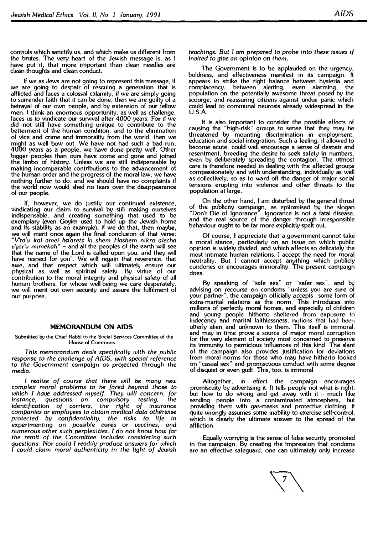controls which sanctify us, and which make us different from the brutes. The very heart of the Jewish message is, as I have put it, that more important than clean needles are clean thoughts and clean conduct.

If we as Jews are not going to represent this message, if we are going to despair of rescuing a generation that is afflicted and faces a colossal calamity, if we are simply going to surrender faith that it can be done, then we are guilty of a betrayal of our own people, and by extension of our fellow men. I think an enormous opportunity, as well as challenge, faces us to vindicate our survival after 4000 years. For if we did not still have something unique to contribute to the betterment of the human condition, and to the elimination of vice and crime and immorality from the world, then we might as well bow out. We have not had such a bad run, 4000 years as a people, we have done pretty well. Other bigger peoples than ours have come and gone and joined the limbo of history. Unless we are still indispensable by making incomparable contributions to the advancement of the human order and the progress of the moral law, we have nothing further to do, and we should have no complaints if the world now would shed no tears over the disappearance of our people.

If, however, we do justify our continued existence, vindicating our claim to survival by still making ourselves indispensable, and creating something that used to be exemplary (even Goyim used to hold up the Jewish home and its stability as an example), if we do that, then maybe, we will merit once again the final conclusion of that verse:<br>"I calculate awai halongta lij shaw I lasher wilne alashe *"V'ra'u kol amei ha aretz ki shem Hashem nikra alecha*  u'yar'u *mimekah"* - and all the peoples of the earth will see that the name of the Lord is called upon you, and they will have respect for you". We will regain that reverence, that awe, and that respect which will ultimately ensure our physical as well as spiritual safety. By virtue of our contribution to the moral integrity and physical safety of all human brothers, for whose well-being we care desperately, we will merit out own security and assure the fulfilment of our purpose.

#### **MEMORANDUM ON AIDS**

**Submitted by the Chief Rabbi to the Social Services Committee of the House of Commons** 

*This memorandum* deals *specifically with the public*  response *to the challenge of AIDS, with special reference to the Government* campaign as projected through the *media.* 

*I realise of course that there will be many new complex moral problems to be faced beyond those to which I haue addressed myself. They will concern, for instance, questions* on *compulsory testing, the identification of carriers, companies* or *employees to obtain medical data otherwise protected by confidentiality, the risks to life* in experimenting on possible cures or *vaccines,* and *numerous other such perplexities. I do not know how Jar the remit of the Committee includes considering such*  questions. *Nor could I readily* produce answers *for which I could* claim *moral authenticity* in *the light of Jewish* 

The Government is to be applauded on the urgency, boldness, and effectiveness manifest in its campaign. It appears to strike the right balance between hysteria and complacency, between alerting, even alarming, the population on the potentially awesome threat posed by the scourge, and reassuring citizens against undue panic which could lead to communal neurosis already widespread in the U.S.A.

It is also important to consider the possible effects of causing the "high-risk" groups to sense that they may be threatened by mounting discrimination in employment. education and social integration. Such a feeling, if allowed to become acute, could well encourage a sense of despair and resentment, breeding the desire to seek safety in numbers, even by deliberately spreading the contagion. The utmost care is therefore needed in dealing with the affected groups compassionately and with understanding, individually as well as collectively, so as to ward off the danger of major social tensions erupting into violence and other threats to the population at large.

On the other hand, I am disturbed by the general thrust of the publicity campai�n, as epitomised by the slogan "Don't Die of Ignorance'. Ignorance is not a fatal disease, and the real source of the danger through irresponsible behaviour ought to be far more explicitly spelt out.

Of course, I appreciate that a government cannot take a moral stance, particularly on an issue on which public opinion is widely divided, and which affects so delicately the most intimate human relations. I accept the need for moral neutrality. **But** I cannot accept anything which publicly condones or encourages immorality. The present campaign does.

By speaking of ''safe sex" or "safer sex", and by advising on recourse on condoms "unless you are sure of your partner", the campaign officially accepts some form of extra-marital relations as the norm. This introduces into millions of perfectly moral homes, and especially of children and young people hitherto sheltered from exposure to indecency and marital falthlessness, notions that had been utterly alien and unknown to them. This itself is immoral, and may in time prove a source of major moral corruption for the very element of society most concerned to preserve its immunity to pernicious influences of this kind. The slant of the campaign also provides justification for deviations from moral norms for those who may have hitherto looked on "casual sex" and promiscuous conduct with some degree of disquiet or even guilt. This, too, is immoral.

Altogether, in effect the campaign encourages promiscuity by advertising it. It tells people not what is right. but how to do wrong and get away with it - much like sending people into a contaminated atmosphere, but providing them with gas-masks and protective clothing. It quite wrongly assumes some inability to exercise self-control, which is clearly the ultimate answer to the spread of the affliction.

Equally worrying is the sense of false security promoted in the campaign. By creating the impression that condoms are an effective safeguard, one can ultimately only increase